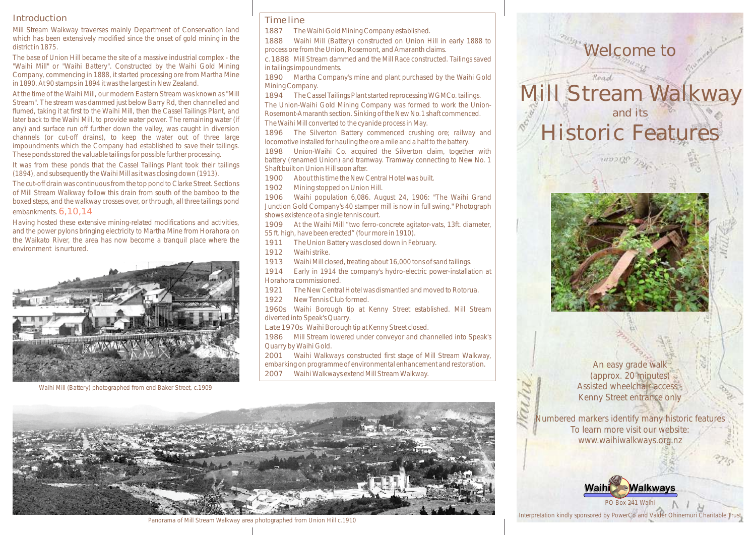# Introduction

Mill Stream Walkway traverses mainly Department of Conservation land which has been extensively modified since the onset of gold mining in the district in 1875.

The base of Union Hill became the site of a massive industrial complex - the "Waihi Mill" or "Waihi Battery". Constructed by the Waihi Gold Mining Company, commencing in 1888, it started processing ore from Martha Mine in 1890. At 90 stamps in 1894 it was the largest in New Zealand.

At the time of the Waihi Mill, our modern Eastern Stream was known as "Mill Stream". The stream was dammed just below Barry Rd, then channelled and flumed, taking it at first to the Waihi Mill, then the Cassel Tailings Plant, and later back to the Waihi Mill, to provide water power. The remaining water (if any) and surface run off further down the valley, was caught in diversion channels (or cut-off drains), to keep the water out of three large impoundments which the Company had established to save their tailings. These ponds stored the valuable tailings for possible further processing.

It was from these ponds that the Cassel Tailings Plant took their tailings (1894), and subsequently the Waihi Mill as it was closing down (1913).

The cut-off drain was continuous from the top pond to Clarke Street. Sections of Mill Stream Walkway follow this drain from south of the bamboo to the boxed steps, and the walkway crosses over, or through, all three tailings pond embankments. 6,10,14

Having hosted these extensive mining-related modifications and activities, and the power pylons bringing electricity to Martha Mine from Horahora on the Waikato River, the area has now become a tranquil place where the environment is nurtured.



Waihi Mill (Battery) photographed from end Baker Street, c.1909

# Time line

1887 The Waihi Gold Mining Company established.

1888 Waihi Mill (Battery) constructed on Union Hill in early 1888 to process ore from the Union, Rosemont, and Amaranth claims.

c.1888 Mill Stream dammed and the Mill Race constructed. Tailings saved in tailings impoundments.

1890 Martha Company's mine and plant purchased by the Waihi Gold Mining Company.

1894 The Cassel Tailings Plant started reprocessing WGMCo. tailings. The Union-Waihi Gold Mining Company was formed to work the Union-Rosemont-Amaranth section. Sinking of the New No.1 shaft commenced. The Waihi Mill converted to the cyanide process in May.

1896 The Silverton Battery commenced crushing ore; railway and locomotive installed for hauling the ore a mile and a half to the battery.

1898 Union-Waihi Co. acquired the Silverton claim, together with battery (renamed Union) and tramway. Tramway connecting to New No. 1 Shaft built on Union Hill soon after.

1900 About this time the New Central Hotel was built.

1902 Mining stopped on Union Hill.

1906 Waihi population 6,086. August 24, 1906: "The Waihi Grand Junction Gold Company's 40 stamper mill is now in full swing." Photograph shows existence of a single tennis court.

1909 At the Waihi Mill "two ferro-concrete agitator-vats, 13ft. diameter, 55 ft. high, have been erected" (four more in 1910).

1911 The Union Battery was closed down in February.

1912 Waihi strike.

1913 Waihi Mill closed, treating about 16,000 tons of sand tailings.

1914 Early in 1914 the company's hydro-electric power-installation at Horahora commissioned.

1921 The New Central Hotel was dismantled and moved to Rotorua.

1922 New Tennis Club formed.

1960s Waihi Borough tip at Kenny Street established. Mill Stream diverted into Speak's Quarry.

Late 1970s Waihi Borough tip at Kenny Street closed.

1986 Mill Stream lowered under conveyor and channelled into Speak's Quarry by Waihi Gold.

2001 Waihi Walkways constructed first stage of Mill Stream Walkway, embarking on programme of environmental enhancement and restoration.

2007 Waihi Walkways extend Mill Stream Walkway.



Panorama of Mill Stream Walkway area photographed from Union Hill c.1910



Read

Mill Stream Walkway and its Historic Features



An easy grade walk (approx. 20 minutes) Assisted wheelchair access - Kenny Street entrance only

Numbered markers identify many historic features To learn more visit our website: www.waihiwalkways.org.nz



Interpretation kindly sponsored by PowerCo and Valder Ohinemuri Charitable Trust